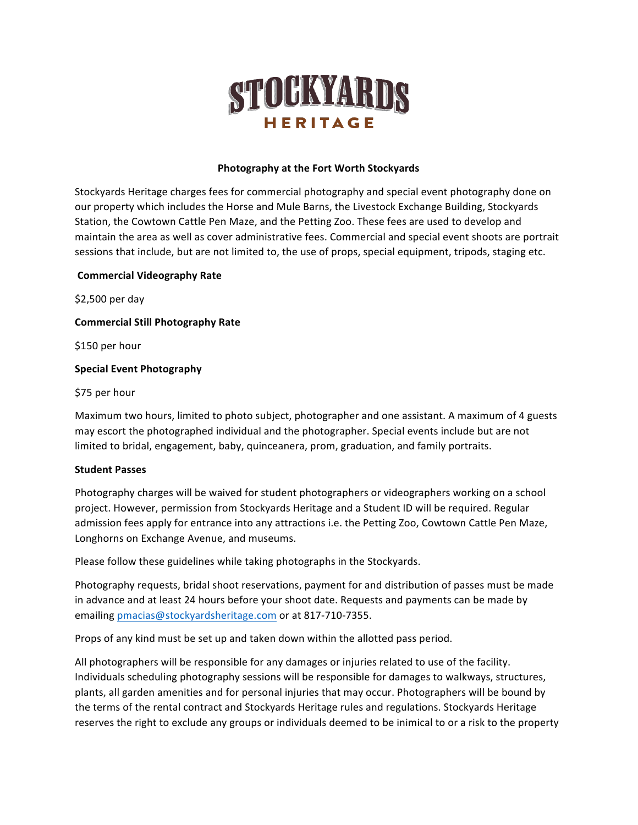

## **Photography at the Fort Worth Stockyards**

Stockyards Heritage charges fees for commercial photography and special event photography done on our property which includes the Horse and Mule Barns, the Livestock Exchange Building, Stockyards Station, the Cowtown Cattle Pen Maze, and the Petting Zoo. These fees are used to develop and maintain the area as well as cover administrative fees. Commercial and special event shoots are portrait sessions that include, but are not limited to, the use of props, special equipment, tripods, staging etc.

## **Commercial Videography Rate**

\$2,500 per day

# **Commercial Still Photography Rate**

\$150 per hour

# **Special Event Photography**

# \$75 per hour

Maximum two hours, limited to photo subject, photographer and one assistant. A maximum of 4 guests may escort the photographed individual and the photographer. Special events include but are not limited to bridal, engagement, baby, quinceanera, prom, graduation, and family portraits.

## **Student Passes**

Photography charges will be waived for student photographers or videographers working on a school project. However, permission from Stockyards Heritage and a Student ID will be required. Regular admission fees apply for entrance into any attractions i.e. the Petting Zoo, Cowtown Cattle Pen Maze, Longhorns on Exchange Avenue, and museums.

Please follow these guidelines while taking photographs in the Stockyards.

Photography requests, bridal shoot reservations, payment for and distribution of passes must be made in advance and at least 24 hours before your shoot date. Requests and payments can be made by emailing pmacias@stockyardsheritage.com or at 817-710-7355.

Props of any kind must be set up and taken down within the allotted pass period.

All photographers will be responsible for any damages or injuries related to use of the facility. Individuals scheduling photography sessions will be responsible for damages to walkways, structures, plants, all garden amenities and for personal injuries that may occur. Photographers will be bound by the terms of the rental contract and Stockyards Heritage rules and regulations. Stockyards Heritage reserves the right to exclude any groups or individuals deemed to be inimical to or a risk to the property